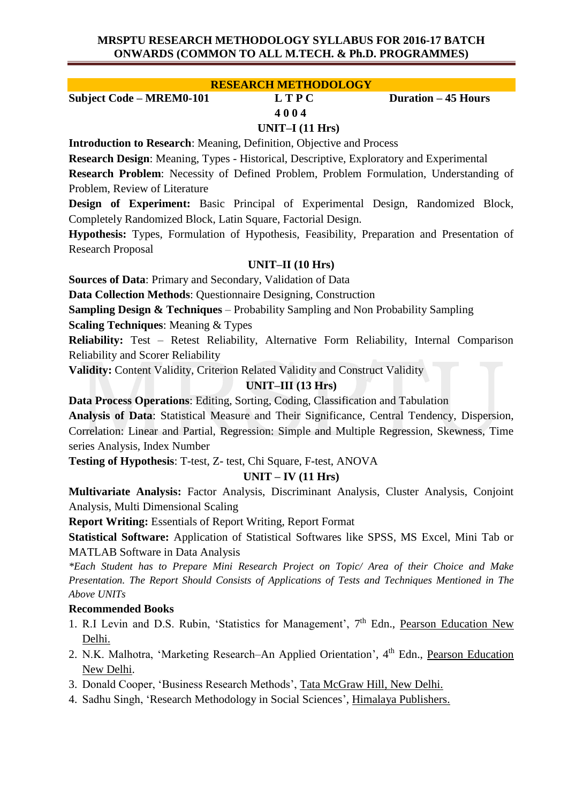## **MRSPTU RESEARCH METHODOLOGY SYLLABUS FOR 2016-17 BATCH ONWARDS (COMMON TO ALL M.TECH. & Ph.D. PROGRAMMES)**

## **RESEARCH METHODOLOGY**

**Subject Code – MREM0-101 L T P C Duration – 45 Hours**

# **4 0 0 4**

## **UNIT–I (11 Hrs)**

**Introduction to Research**: Meaning, Definition, Objective and Process

**Research Design**: Meaning, Types - Historical, Descriptive, Exploratory and Experimental

**Research Problem**: Necessity of Defined Problem, Problem Formulation, Understanding of Problem, Review of Literature

**Design of Experiment:** Basic Principal of Experimental Design, Randomized Block, Completely Randomized Block, Latin Square, Factorial Design.

**Hypothesis:** Types, Formulation of Hypothesis, Feasibility, Preparation and Presentation of Research Proposal

## **UNIT–II (10 Hrs)**

**Sources of Data**: Primary and Secondary, Validation of Data

**Data Collection Methods**: Questionnaire Designing, Construction

**Sampling Design & Techniques** – Probability Sampling and Non Probability Sampling

**Scaling Techniques**: Meaning & Types

**Reliability:** Test – Retest Reliability, Alternative Form Reliability, Internal Comparison Reliability and Scorer Reliability

**Validity:** Content Validity, Criterion Related Validity and Construct Validity

# **UNIT–III (13 Hrs)**

**Data Process Operations**: Editing, Sorting, Coding, Classification and Tabulation

**Analysis of Data**: Statistical Measure and Their Significance, Central Tendency, Dispersion, Correlation: Linear and Partial, Regression: Simple and Multiple Regression, Skewness, Time series Analysis, Index Number

**Testing of Hypothesis**: T-test, Z- test, Chi Square, F-test, ANOVA

# **UNIT – IV (11 Hrs)**

**Multivariate Analysis:** Factor Analysis, Discriminant Analysis, Cluster Analysis, Conjoint Analysis, Multi Dimensional Scaling

**Report Writing:** Essentials of Report Writing, Report Format

**Statistical Software:** Application of Statistical Softwares like SPSS, MS Excel, Mini Tab or MATLAB Software in Data Analysis

*\*Each Student has to Prepare Mini Research Project on Topic/ Area of their Choice and Make Presentation. The Report Should Consists of Applications of Tests and Techniques Mentioned in The Above UNITs*

## **Recommended Books**

- 1. R.I Levin and D.S. Rubin, 'Statistics for Management', 7<sup>th</sup> Edn., Pearson Education New Delhi.
- 2. N.K. Malhotra, 'Marketing Research-An Applied Orientation', 4<sup>th</sup> Edn., Pearson Education New Delhi.
- 3. Donald Cooper, 'Business Research Methods', Tata McGraw Hill, New Delhi.
- 4. Sadhu Singh, 'Research Methodology in Social Sciences', Himalaya Publishers.